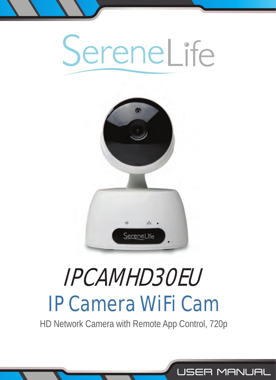



# IPCAMHD30EU IP Camera WiFi Cam

HD Network Camera with Remote App Control, 720p

USER MANUAL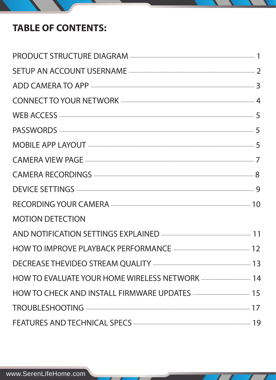## **TABLE OF CONTENTS:**

| CAMERA RECORDINGS <b>CAMERA RECORDINGS</b> |  |
|--------------------------------------------|--|
|                                            |  |
|                                            |  |
| <b>MOTION DETECTION</b>                    |  |
|                                            |  |
|                                            |  |
|                                            |  |
|                                            |  |
|                                            |  |
|                                            |  |
|                                            |  |

 $\overline{r}$  $\overline{\mathbf{r}}$   $\sqrt{2}$ 

 $\overline{\mathcal{L}}$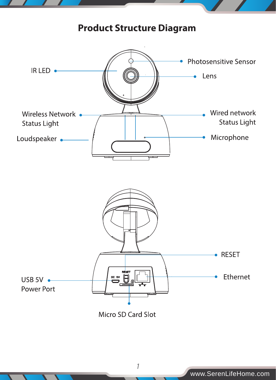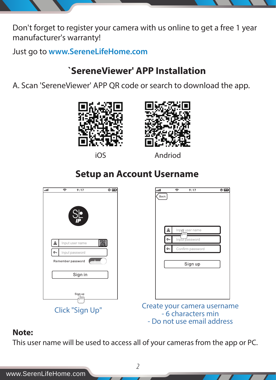Don't forget to register your camera with us online to get a free 1 year manufacturer's warranty!

Just go to **www.SereneLifeHome.com**

## **`SereneViewer' APP Installation**

A. Scan 'SereneViewer' APP QR code or search to download the app.





iOS Andriod

## **Setup an Account Username**



#### - Do not use email address

#### **Note:**

This user name will be used to access all of your cameras from the app or PC.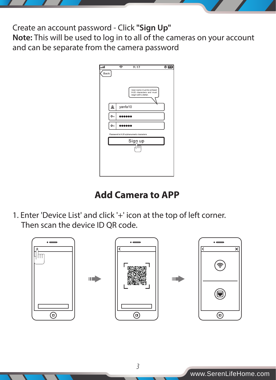

Create an account password - Click **"Sign Up"**

**Note:** This will be used to log in to all of the cameras on your account and can be separate from the camera password

| aaT  | 9:17<br>÷                                                                      | $\overline{\circ}$ |
|------|--------------------------------------------------------------------------------|--------------------|
| Back | User name must be at least<br>6-20 characters and must<br>begin with a letter. |                    |
| &    | yanfa10                                                                        |                    |
| ٥.,  |                                                                                |                    |
| ٥.   |                                                                                |                    |
|      | Password is 6-20 alphanumeric characters                                       |                    |
|      | Sign up<br>Π                                                                   |                    |

## **Add Camera to APP**

1. Enter 'Device List' and click '+' icon at the top of left corner. Then scan the device ID QR code.

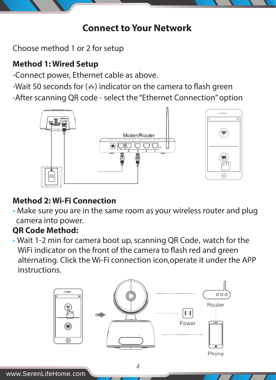

#### **Connect to Your Network**

Choose method 1 or 2 for setup

#### **Method 1: Wired Setup**

-Connect power, Ethernet cable as above.

-Wait 50 seconds for  $(\frac{p}{\sigma^2})$  indicator on the camera to flash green -After scanning QR code - select the "Ethernet Connection" option



#### **Method 2: Wi-Fi Connection**

**•** Make sure you are in the same room as your wireless router and plug camera into power.

#### **QR Code Method:**

• Wait 1-2 min for camera boot up, scanning QR Code, watch for the WiFi indicator on the front of the camera to flash red and green alternating. Click the Wi-Fi connection icon,operate it under the APP instructions.

![](_page_5_Figure_11.jpeg)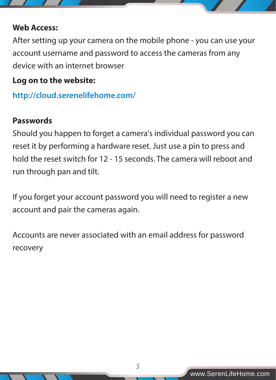![](_page_6_Picture_0.jpeg)

#### **Web Access:**

After setting up your camera on the mobile phone - you can use your account username and password to access the cameras from any device with an internet browser

#### **Log on to the website:**

**http://cloud.serenelifehome.com/**

#### **Passwords**

Should you happen to forget a camera's individual password you can reset it by performing a hardware reset. Just use a pin to press and hold the reset switch for 12 - 15 seconds. The camera will reboot and run through pan and tilt.

If you forget your account password you will need to register a new account and pair the cameras again.

Accounts are never associated with an email address for password recovery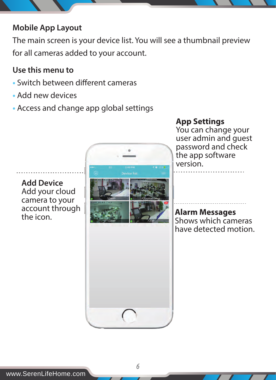#### **Mobile App Layout**

The main screen is your device list. You will see a thumbnail preview for all cameras added to your account.

#### **Use this menu to**

- Switch between different cameras
- Add new devices
- Access and change app global settings

#### **App Settings**

You can change your user admin and guest password and check the app software version.

**Add Device** Add your cloud camera to your account through<br>the icon.

![](_page_7_Picture_9.jpeg)

*6*

**Alarm Messages** Shows which cameras have detected motion.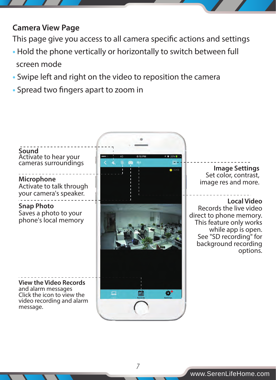![](_page_8_Picture_0.jpeg)

#### **Camera View Page**

This page give you access to all camera specific actions and settings

- Hold the phone vertically or horizontally to switch between full screen mode
- Swipe left and right on the video to reposition the camera
- Spread two fingers apart to zoom in

![](_page_8_Picture_6.jpeg)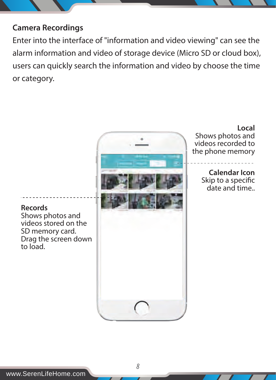![](_page_9_Picture_0.jpeg)

#### **Camera Recordings**

Enter into the interface of "information and video viewing" can see the alarm information and video of storage device (Micro SD or cloud box), users can quickly search the information and video by choose the time or category.

![](_page_9_Figure_3.jpeg)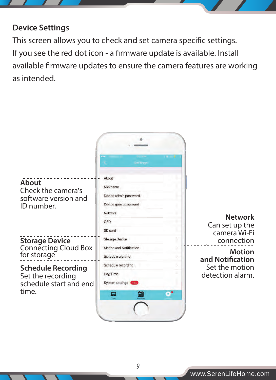![](_page_10_Picture_0.jpeg)

#### **Device Settings**

This screen allows you to check and set camera specific settings. If you see the red dot icon - a firmware update is available. Install available firmware updates to ensure the camera features are working as intended.

![](_page_10_Figure_3.jpeg)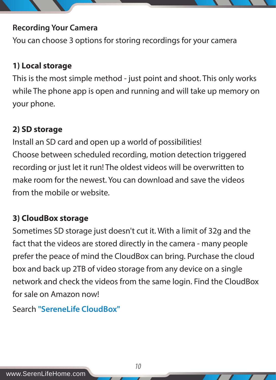![](_page_11_Picture_0.jpeg)

#### **Recording Your Camera**

You can choose 3 options for storing recordings for your camera

#### **1) Local storage**

This is the most simple method - just point and shoot. This only works while The phone app is open and running and will take up memory on your phone.

#### **2) SD storage**

Install an SD card and open up a world of possibilities! Choose between scheduled recording, motion detection triggered recording or just let it run! The oldest videos will be overwritten to make room for the newest. You can download and save the videos from the mobile or website.

#### **3) CloudBox storage**

Sometimes SD storage just doesn't cut it. With a limit of 32g and the fact that the videos are stored directly in the camera - many people prefer the peace of mind the CloudBox can bring. Purchase the cloud box and back up 2TB of video storage from any device on a single network and check the videos from the same login. Find the CloudBox for sale on Amazon now!

*10*

Search **"SereneLife CloudBox"**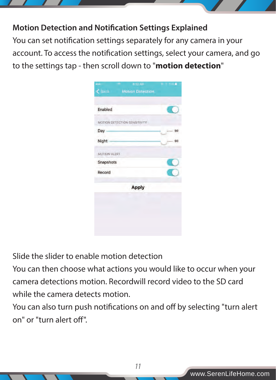![](_page_12_Picture_0.jpeg)

#### **Motion Detection and Notification Settings Explained**

You can set notification settings separately for any camera in your account. To access the notification settings, select your camera, and go to the settings tap - then scroll down to "**motion detection**"

| $C$ Back     | 3-52-AM<br><b>Motion Detection</b> |    |
|--------------|------------------------------------|----|
|              |                                    |    |
| Enabled      |                                    |    |
|              | MOTION DETECTION SENSITIVITY       |    |
| Day          |                                    | 90 |
| Night        |                                    | 90 |
| MOTION ALERT |                                    |    |
| Snapshots    |                                    |    |
| Record       |                                    |    |
|              | Apply                              |    |
|              |                                    |    |
|              |                                    |    |
|              |                                    |    |
|              |                                    |    |
|              |                                    |    |

Slide the slider to enable motion detection

You can then choose what actions you would like to occur when your camera detections motion. Recordwill record video to the SD card while the camera detects motion.

You can also turn push notifications on and off by selecting "turn alert on" or "turn alert off"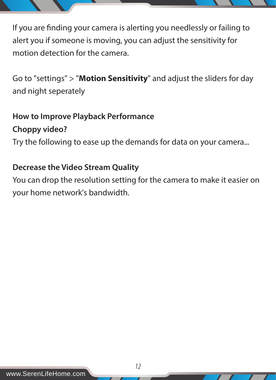If you are finding your camera is alerting you needlessly or failing to alert you if someone is moving, you can adjust the sensitivity for motion detection for the camera.

Go to "settings" > "**Motion Sensitivity**" and adjust the sliders for day and night seperately

#### **How to Improve Playback Performance Choppy video?**

Try the following to ease up the demands for data on your camera...

#### **Decrease the Video Stream Quality**

You can drop the resolution setting for the camera to make it easier on your home network's bandwidth.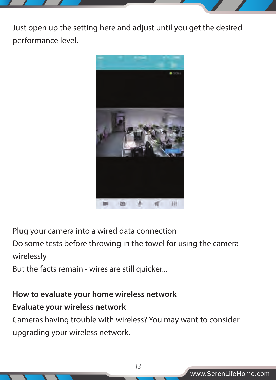![](_page_14_Picture_0.jpeg)

Just open up the setting here and adjust until you get the desired performance level.

![](_page_14_Picture_2.jpeg)

Plug your camera into a wired data connection

Do some tests before throwing in the towel for using the camera wirelessly

But the facts remain - wires are still quicker...

### **How to evaluate your home wireless network Evaluate your wireless network**

Cameras having trouble with wireless? You may want to consider upgrading your wireless network.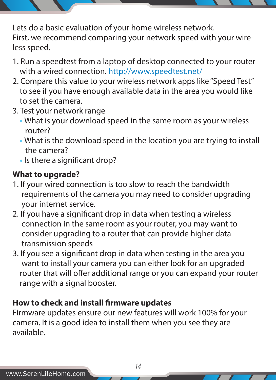Lets do a basic evaluation of your home wireless network. First, we recommend comparing your network speed with your wireless speed.

- 1. Run a speedtest from a laptop of desktop connected to your router with a wired connection. http://www.speedtest.net/
- 2. Compare this value to your wireless network apps like "Speed Test" to see if you have enough available data in the area you would like to set the camera.
- 3. Test your network range
	- What is your download speed in the same room as your wireless router?
	- What is the download speed in the location you are trying to install the camera?
	- Is there a significant drop?

#### **What to upgrade?**

- 1. If your wired connection is too slow to reach the bandwidth requirements of the camera you may need to consider upgrading your internet service.
- 2. If you have a significant drop in data when testing a wireless connection in the same room as your router, you may want to consider upgrading to a router that can provide higher data transmission speeds
- 3. If you see a significant drop in data when testing in the area you want to install your camera you can either look for an upgraded router that will offer additional range or you can expand your router range with a signal booster.

#### **How to check and install firmware updates**

Firmware updates ensure our new features will work 100% for your camera. It is a good idea to install them when you see they are available.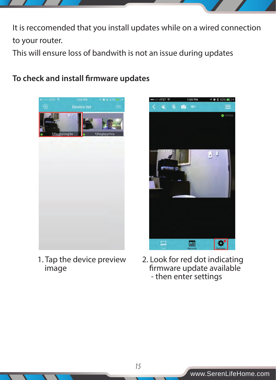![](_page_16_Picture_0.jpeg)

It is reccomended that you install updates while on a wired connection to your router.

This will ensure loss of bandwith is not an issue during updates

#### **To check and install firmware updates**

![](_page_16_Picture_4.jpeg)

1. Tap the device preview image

![](_page_16_Picture_6.jpeg)

2. Look for red dot indicating firmware update available - then enter settings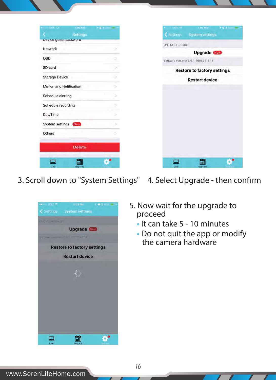|                         | <b>LO2 0M</b>   | п |
|-------------------------|-----------------|---|
|                         | <b>Settings</b> |   |
| Device guest passworu   |                 |   |
| Network                 |                 |   |
| OSD                     |                 |   |
| SD card                 |                 |   |
| <b>Storage Device</b>   |                 |   |
| Motion and Notification |                 |   |
| Schedule alerting       |                 |   |
| Schedule recording      |                 |   |
| Day/Time                |                 |   |
| System settings (New)   |                 |   |
| <b>Others</b>           |                 |   |
|                         | <b>Delete</b>   |   |
|                         |                 |   |

| <b>NTATIC</b>  | 1.03 Min<br>Settings System settings |  |
|----------------|--------------------------------------|--|
|                |                                      |  |
| ONLINE UPGRADE |                                      |  |
|                | <b>Upgrade New</b>                   |  |
|                | Software version:v3.6.1.1606241841   |  |
|                | <b>Restore to factory settings</b>   |  |
|                | <b>Restart device</b>                |  |
|                |                                      |  |
|                |                                      |  |
|                |                                      |  |
|                |                                      |  |
|                |                                      |  |
|                |                                      |  |
|                |                                      |  |
|                |                                      |  |
|                |                                      |  |
|                |                                      |  |
|                |                                      |  |
|                | Records                              |  |

| $-1787$          | E 0.1 PM                                                    | <b>THE R. P. LEWIS</b> |
|------------------|-------------------------------------------------------------|------------------------|
|                  | <settings settings<="" system="" th=""><th></th></settings> |                        |
| OME ME HOT LATER |                                                             |                        |
|                  | <b>Upgrade News</b>                                         |                        |
| Stat Mart        |                                                             |                        |
|                  | <b>Restore to factory settings</b>                          |                        |
|                  | <b>Restart device</b>                                       |                        |
|                  |                                                             |                        |
|                  | $2^{\circ}$                                                 |                        |
|                  |                                                             |                        |
|                  |                                                             |                        |
|                  |                                                             |                        |
|                  |                                                             |                        |
|                  |                                                             |                        |
|                  |                                                             |                        |
| Live             | Records                                                     | illi in                |

- 3. Scroll down to "System Settings" 4. Select Upgrade then confirm
	- 5. Now wait for the upgrade to proceed
		- It can take 5 10 minutes
	- Do not quit the app or modify the camera hardware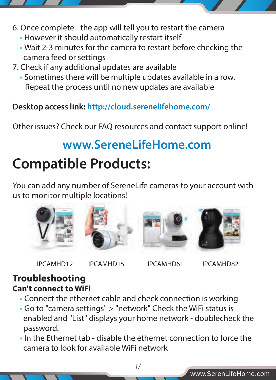![](_page_18_Picture_0.jpeg)

- 6. Once complete the app will tell you to restart the camera
	- However it should automatically restart itself
	- Wait 2-3 minutes for the camera to restart before checking the camera feed or settings
- 7. Check if any additional updates are available
	- Sometimes there will be multiple updates available in a row. Repeat the process until no new updates are available

**Desktop access link: http://cloud.serenelifehome.com/**

Other issues? Check our FAQ resources and contact support online!

## **www.SereneLifeHome.com**

## **Compatible Products:**

You can add any number of SereneLife cameras to your account with us to monitor multiple locations!

![](_page_18_Picture_11.jpeg)

![](_page_18_Picture_12.jpeg)

![](_page_18_Picture_13.jpeg)

![](_page_18_Picture_14.jpeg)

#### IPCAMHD12 IPCAMHD15 IPCAMHD61 IPCAMHD82

#### **Troubleshooting Can't connect to WiFi**

- Connect the ethernet cable and check connection is working
- Go to "camera settings" > "network" Check the WiFi status is enabled and "List" displays your home network - doublecheck the password.
- In the Ethernet tab disable the ethernet connection to force the camera to look for available WiFi network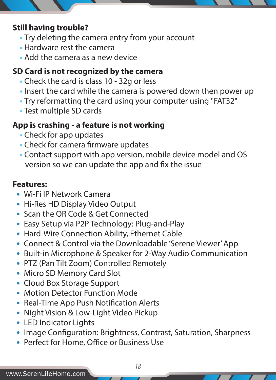#### **Still having trouble?**

- Try deleting the camera entry from your account
- Hardware rest the camera
- Add the camera as a new device

#### **SD Card is not recognized by the camera**

- Check the card is class 10 32g or less
- Insert the card while the camera is powered down then power up
- Try reformatting the card using your computer using "FAT32"
- Test multiple SD cards

#### **App is crashing - a feature is not working**

- Check for app updates
- Check for camera firmware updates
- Contact support with app version, mobile device model and OS version so we can update the app and fix the issue

#### **Features:**

- Wi-Fi IP Network Camera
- Hi-Res HD Display Video Output
- Scan the QR Code & Get Connected
- Easy Setup via P2P Technology: Plug-and-Play
- Hard-Wire Connection Ability, Ethernet Cable
- Connect & Control via the Downloadable 'Serene Viewer' App
- Built-in Microphone & Speaker for 2-Way Audio Communication
- PTZ (Pan Tilt Zoom) Controlled Remotely
- Micro SD Memory Card Slot
- Cloud Box Storage Support
- Motion Detector Function Mode
- Real-Time App Push Notification Alerts
- Night Vision & Low-Light Video Pickup
- LED Indicator Lights
- Image Configuration: Brightness, Contrast, Saturation, Sharpness
- Perfect for Home, Office or Business Use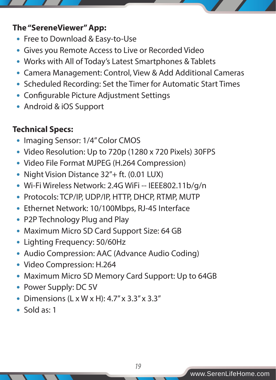#### **The "SereneViewer" App:**

- Free to Download & Easy-to-Use
- Gives you Remote Access to Live or Recorded Video
- Works with All of Today's Latest Smartphones & Tablets
- Camera Management: Control, View & Add Additional Cameras
- Scheduled Recording: Set the Timer for Automatic Start Times
- Configurable Picture Adjustment Settings
- Android & iOS Support

#### **Technical Specs:**

- Imaging Sensor: 1/4" Color CMOS
- Video Resolution: Up to 720p (1280 x 720 Pixels) 30FPS
- Video File Format MJPEG (H.264 Compression)
- Night Vision Distance 32"+ ft. (0.01 LUX)
- Wi-Fi Wireless Network: 2.4G WiFi -- IEEE802.11b/g/n
- Protocols: TCP/IP, UDP/IP, HTTP, DHCP, RTMP, MUTP
- Ethernet Network: 10/100Mbps, RJ-45 Interface
- P2P Technology Plug and Play
- Maximum Micro SD Card Support Size: 64 GB
- Lighting Frequency: 50/60Hz
- Audio Compression: AAC (Advance Audio Coding)
- Video Compression: H.264
- Maximum Micro SD Memory Card Support: Up to 64GB
- Power Supply: DC 5V
- Dimensions (L x W x H): 4.7" x 3.3" x 3.3"
- Sold as: 1